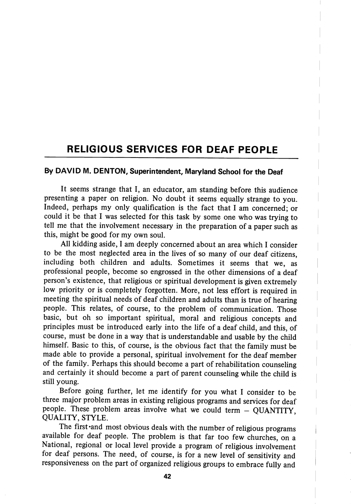## RELIGIOUS SERVICES FOR DEAF PEOPLE

## By DAVID M. DENTON, Superintendent, Maryland School for the Deaf

It seems strange that I, an educator, am standing before this audience presenting a paper on religion. No doubt it seems equally strange to you. Indeed, perhaps my only qualification is the fact that I am concerned; or could it be that I was selected for this task by some one who was trying to tell me that the involvement necessary in the preparation of a paper such as this, might be good for my own soul.

All kidding aside, I am deeply concerned about an area which I consider to be the most neglected area in the lives of so many of our deaf citizens, including both children and adults. Sometimes it seems that we, as professional people, become so engrossed in the other dimensions of a deaf person's existence, that religious or spiritual development is given extremely low priority or is completely forgotten. More, not less effort is required in meeting the spiritual needs of deaf children and adults than is true of hearing people. This relates, of course, to the problem of communication. Those basic, but oh so important spiritual, moral and religious concepts and principles must be introduced early into the life of a deaf child, and this, of course, must be done in a way that is understandable and usable by the child himself. Basic to this, of course, is the obvious fact that the family must be made able to provide a personal, spiritual involvement for the deaf member of the family. Perhaps this should become a part of rehabilitation counseling and certainly it should become a part of parent counseling while the child is still young.

Before going further, let me identify for you what I consider to be three major problem areas in existing religious programs and services for deaf people. These problem areas involve what we could term  $-$  QUANTITY. QUALITY, STYLE.

The first 'and most obvious deals with the number of religious programs available for deaf people. The problem is that far too few churches, on a National, regional or local level provide a program of religious involvement for deaf persons. The need, of course, is for a new level of sensitivity and responsiveness on the part of organized religious groups to embrace fully and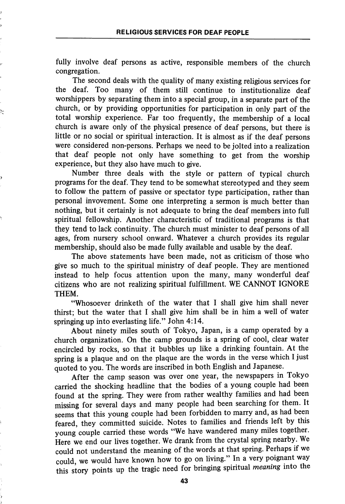fully involve deaf persons as active, responsible members of the church congregation.

The second deals with the quality of many existing religious services for the deaf. Too many of them still continue to institutionalize deaf worshippers by separating them into a special group, in a separate part of the church, or by providing opportunities for participation in only part of the total worship experience. Far too frequently, the membership of a local church is aware only of the physical presence of deaf persons, but there is little or no social or spiritual interaction. It is almost as if the deaf persons were considered non-persons. Perhaps we need to be jolted into a realization that deaf people not only have something to get from the worship experience, but they also have much to give.

Number three deals with the style or pattern of typical church programs for the deaf. They tend to be somewhat stereotyped and they seem to follow the pattern of passive or spectator type participation, rather than personal invovement. Some one interpreting a sermon is much better than nothing, but it certainly is not adequate to bring the deaf members into full spiritual fellowship. Another characteristic of traditional programs is that they tend to lack continuity. The church must minister to deaf persons of all ages, from nursery school onward. Whatever a church provides its regular membership, should also be made fully available and usable by the deaf.

The above statements have been made, not as criticism of those who give so much to the spiritual ministry of deaf people. They are mentioned instead to help focus attention upon the many, many wonderful deaf citizens who are not realizing spiritual fulfillment. WE CANNOT IGNORE THEM.

"Whosoever drinketh of the water that I shall give him shall never thirst; but the water that I shall give him shall be in him a well of water springing up into everlasting life." John 4:14.

About ninety miles south of Tokyo, Japan, is a camp operated by a church organization. On the camp grounds is a spring of cool, clear water encircled by rocks, so that it bubbles up like a drinking fountain. At the spring is a plaque and on the plaque are the words in the verse which I just quoted to you. The words are inscribed in both English and Japanese.

After the camp season was over one year, the newspapers in Tokyo carried the shocking headline that the bodies of a young couple had been found at the spring. They were from rather wealthy families and had been missing for several days and many people had been searching for them. It seems that this young couple had been forbidden to marry and, as had been feared, they committed suicide. Notes to families and friends left by this young couple carried these words "We have wandered many miles together. Here we end our lives together. We drank from the crystal spring nearby. We could not understand the meaning of the words at that spring. Perhaps if we could, we would have known how to go on living." In a very poignant way this story points up the tragic need for bringing spiritual meaning into the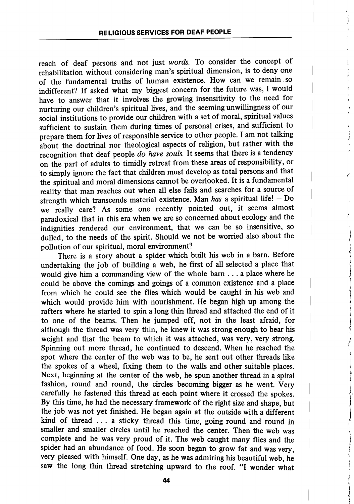reach of deaf persons and not just words. To consider the concept of rehabilitation without considering man's spiritual dimension, is to deny one of the fundamental truths of human existence. How can we remain , so indifferent? If asked what my biggest concern for the future was, I would have to answer that it involves the growing insensitivity to the need for nurturing our children's spiritual lives, and the seeming unwillingness of our social institutions to provide our children with a set of moral, spiritual values sufficient to sustain them during times of personal crises, and sufficient to prepare them for lives of responsible service to other people. I am not talking about the doctrinal nor theological aspects of religion, but rather with the recognition that deaf people do have souls. It seems that there is a tendency on the part of adults to timidly retreat from these areas of responsibility, or to simply ignore the fact that children must develop as total persons and that the spiritual and moral dimensions cannot be overlooked. It is a fundamental reality that man reaches out when all else fails and searches for a source of strength which transcends material existence. Man has a spiritual life!  $-$  Do we really care? As some one recently pointed out, it seems almost paradoxical that in this era when we are so concerned about ecology and the indignities rendered our environment, that we can be so insensitive, so dulled, to the needs of the spirit. Should we not be worried also about the pollution of our spiritual, moral environment?

There is a story about a spider which built his web in a bam. Before undertaking the job of building a web, he first of all selected a place that would give him a commanding view of the whole bam ... a place where he could be above the comings and goings of a common existence and a place from which he could see the flies which would be caught in his web and which would provide him with nourishment. He began high up among the rafters where he started to spin a long thin thread and attached the end of it to one of the beams. Then he jumped off, not in the least afraid, for although the thread was very thin, he knew it was strong enough to bear his weight and that the beam to which it was attached, was very, very strong. Spinning out more thread, he continued to descend. When he reached the spot where the center of the web was to be, he sent out other threads like the spokes of a wheel, fixing them to the walls and other suitable places. Next, beginning at the center of the web, he spun another thread in a spiral fashion, round and round, the circles becoming bigger as he went. Very carefully he fastened this thread at each point where it crossed the spokes. By this time, he had the necessary framework of the right size and shape, but the job was not yet finished. He began again at the outside with a different kind of thread ... a sticky thread this time, going round and round in smaller and smaller circles until he reached the center. Then the web was complete and he was very proud of it. The web caught many flies and the spider had an abundance of food. He soon began to grow fat and was very, very pleased with himself. One day, as he was admiring his beautiful web, he saw the long thin thread stretching upward to the roof. "I wonder what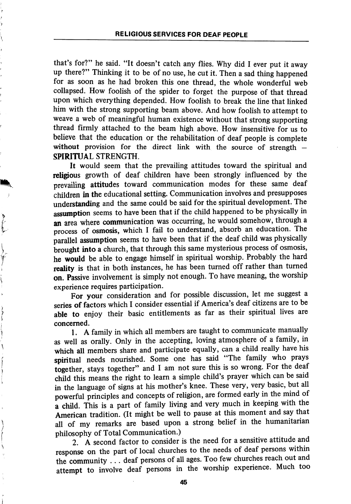that's for?" he said. "It doesn't catch any flies. Why did I ever put it away up there?" Thinking it to be of no use, he cut it. Then a sad thing happened for as soon as he had broken this one thread, the whole wonderful web collapsed. How foolish of the spider to forget the purpose of that thread upon which everything depended. How foolish to break the line that linked him with the strong supporting beam above. And how foolish to attempt to weave a web of meaningful human existence without that strong supporting thread firmly attached to the beam high above. How insensitive for us to believe that the education or the rehabilitation of deaf people is complete without provision for the direct link with the source of strength – SPIRITUAL STRENGTH.

It would seem that the prevailing attitudes toward the spiritual and religious growth of deaf children have been strongly influenced by the prevailing attitudes toward communication modes for these same deaf children in the educational setting. Communication involves and presupposes understanding and the same could be said for the spiritual development. The assumption seems to have been that if the child happened to be physically in an area where communication was occurring, he would somehow, through a process of osmosis, which I fail to understand, absorb an education. The parallel assumption seems to have been that if the deaf child was physically brought into a church, that through this same mysterious process of osmosis, he would be able to engage himself in spiritual worship. Probably the hard reality is that in both instances, he has been turned off rather than turned on. Passive involvement is simply not enough. To have meaning, the worship experience requires participation.

For your consideration and for possible discussion, let me suggest a series of factors which I consider essential if America's deaf citizens are to be able to enjoy their basic entitlements as far as their spiritual lives are concerned.

1. A family in which all members are taught to communicate manually as well as orally. Only in the accepting, loving atmosphere of a family, in which all members share and participate equally, can a child really have his spiritual needs nourished. Some one has said "The family who prays together, stays together" and I am not sure this is so wrong. For the deaf child this means the right to learn a simple child's prayer which can be said in the language of signs at his mother's knee. These very, very basic, but all powerful principles and concepts of religion, are formed early in the mind of a child. This is a part of family living and very much in keeping with the American tradition. (It might be well to pause at this moment and say that all of my remarks are based upon a strong belief in the humanitarian philosophy of Total Communication.)

2. A second factor to consider is the need for a sensitive attitude and response on the part of local churches to the needs of deaf persons within the community .. . deaf persons of all ages. Too few churches reach out and attempt to involve deaf persons in the worship experience. Much too